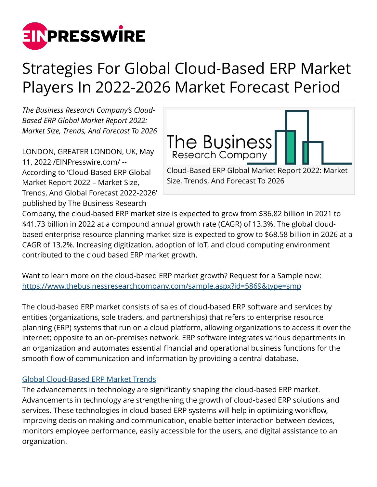

# Strategies For Global Cloud-Based ERP Market Players In 2022-2026 Market Forecast Period

*The Business Research Company's Cloud-Based ERP Global Market Report 2022: Market Size, Trends, And Forecast To 2026*

LONDON, GREATER LONDON, UK, May 11, 2022 /[EINPresswire.com/](http://www.einpresswire.com) -- According to 'Cloud-Based ERP Global Market Report 2022 – Market Size, Trends, And Global Forecast 2022-2026' published by The Business Research



Size, Trends, And Forecast To 2026

Company, the cloud-based ERP market size is expected to grow from \$36.82 billion in 2021 to \$41.73 billion in 2022 at a compound annual growth rate (CAGR) of 13.3%. The global cloudbased enterprise resource planning market size is expected to grow to \$68.58 billion in 2026 at a CAGR of 13.2%. Increasing digitization, adoption of IoT, and cloud computing environment contributed to the cloud based ERP market growth.

Want to learn more on the cloud-based ERP market growth? Request for a Sample now: <https://www.thebusinessresearchcompany.com/sample.aspx?id=5869&type=smp>

The cloud-based ERP market consists of sales of cloud-based ERP software and services by entities (organizations, sole traders, and partnerships) that refers to enterprise resource planning (ERP) systems that run on a cloud platform, allowing organizations to access it over the internet; opposite to an on-premises network. ERP software integrates various departments in an organization and automates essential financial and operational business functions for the smooth flow of communication and information by providing a central database.

# [Global Cloud-Based ERP Market Trends](https://www.thebusinessresearchcompany.com/report/cloud-based-erp-global-market-report-)

The advancements in technology are significantly shaping the cloud-based ERP market. Advancements in technology are strengthening the growth of cloud-based ERP solutions and services. These technologies in cloud-based ERP systems will help in optimizing workflow, improving decision making and communication, enable better interaction between devices, monitors employee performance, easily accessible for the users, and digital assistance to an organization.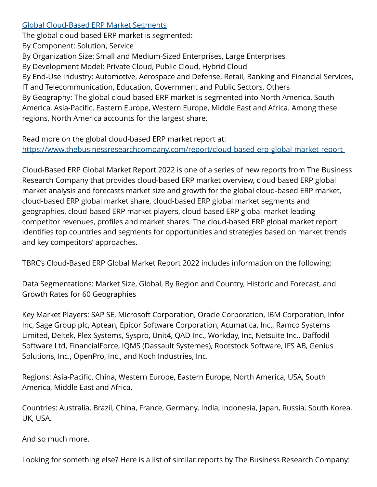### [Global Cloud-Based ERP Market Segments](https://www.thebusinessresearchcompany.com/report/cloud-based-erp-global-market-report-)

The global cloud-based ERP market is segmented:

By Component: Solution, Service

By Organization Size: Small and Medium-Sized Enterprises, Large Enterprises

By Development Model: Private Cloud, Public Cloud, Hybrid Cloud

By End-Use Industry: Automotive, Aerospace and Defense, Retail, Banking and Financial Services, IT and Telecommunication, Education, Government and Public Sectors, Others By Geography: The global cloud-based ERP market is segmented into North America, South America, Asia-Pacific, Eastern Europe, Western Europe, Middle East and Africa. Among these regions, North America accounts for the largest share.

Read more on the global cloud-based ERP market report at: <https://www.thebusinessresearchcompany.com/report/cloud-based-erp-global-market-report->

Cloud-Based ERP Global Market Report 2022 is one of a series of new reports from The Business Research Company that provides cloud-based ERP market overview, cloud based ERP global market analysis and forecasts market size and growth for the global cloud-based ERP market, cloud-based ERP global market share, cloud-based ERP global market segments and geographies, cloud-based ERP market players, cloud-based ERP global market leading competitor revenues, profiles and market shares. The cloud-based ERP global market report identifies top countries and segments for opportunities and strategies based on market trends and key competitors' approaches.

TBRC's Cloud-Based ERP Global Market Report 2022 includes information on the following:

Data Segmentations: Market Size, Global, By Region and Country, Historic and Forecast, and Growth Rates for 60 Geographies

Key Market Players: SAP SE, Microsoft Corporation, Oracle Corporation, IBM Corporation, Infor Inc, Sage Group plc, Aptean, Epicor Software Corporation, Acumatica, Inc., Ramco Systems Limited, Deltek, Plex Systems, Syspro, Unit4, QAD Inc., Workday, Inc, Netsuite Inc., Daffodil Software Ltd, FinancialForce, IQMS (Dassault Systemes), Rootstock Software, IFS AB, Genius Solutions, Inc., OpenPro, Inc., and Koch Industries, Inc.

Regions: Asia-Pacific, China, Western Europe, Eastern Europe, North America, USA, South America, Middle East and Africa.

Countries: Australia, Brazil, China, France, Germany, India, Indonesia, Japan, Russia, South Korea, UK, USA.

And so much more.

Looking for something else? Here is a list of similar reports by The Business Research Company: